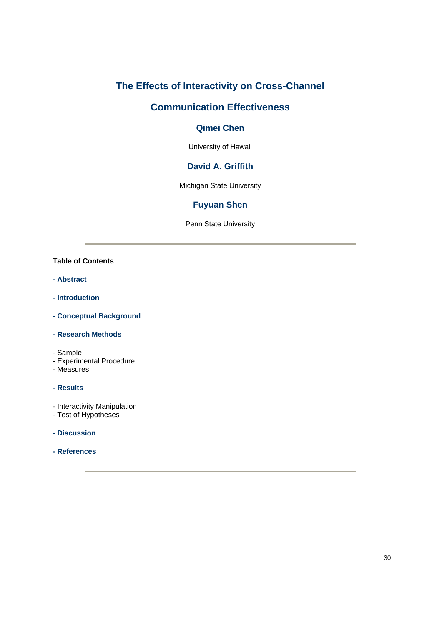# **The Effects of Interactivity on Cross-Channel**

# **Communication Effectiveness**

## **Qimei Chen**

University of Hawaii

## **David A. Griffith**

Michigan State University

## **Fuyuan Shen**

Penn State University

#### **Table of Contents**

- **Abstract**
- **Introduction**
- **Conceptual Background**
- **Research Methods**
- Sample
- Experimental Procedure
- Measures
- **Results**
- Interactivity Manipulation
- Test of Hypotheses
- **Discussion**
- **References**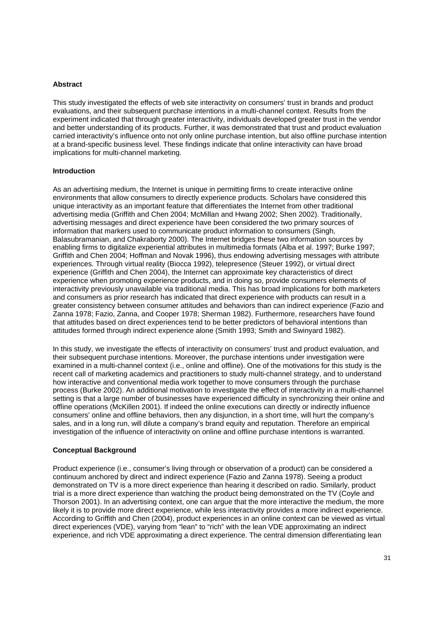### **Abstract**

This study investigated the effects of web site interactivity on consumers' trust in brands and product evaluations, and their subsequent purchase intentions in a multi-channel context. Results from the experiment indicated that through greater interactivity, individuals developed greater trust in the vendor and better understanding of its products. Further, it was demonstrated that trust and product evaluation carried interactivity's influence onto not only online purchase intention, but also offline purchase intention at a brand-specific business level. These findings indicate that online interactivity can have broad implications for multi-channel marketing.

#### **Introduction**

As an advertising medium, the Internet is unique in permitting firms to create interactive online environments that allow consumers to directly experience products. Scholars have considered this unique interactivity as an important feature that differentiates the Internet from other traditional advertising media (Griffith and Chen 2004; McMillan and Hwang 2002; Shen 2002). Traditionally, advertising messages and direct experience have been considered the two primary sources of information that markers used to communicate product information to consumers (Singh, Balasubramanian, and Chakraborty 2000). The Internet bridges these two information sources by enabling firms to digitalize experiential attributes in multimedia formats (Alba et al. 1997; Burke 1997; Griffith and Chen 2004; Hoffman and Novak 1996), thus endowing advertising messages with attribute experiences. Through virtual reality (Biocca 1992), telepresence (Steuer 1992), or virtual direct experience (Griffith and Chen 2004), the Internet can approximate key characteristics of direct experience when promoting experience products, and in doing so, provide consumers elements of interactivity previously unavailable via traditional media. This has broad implications for both marketers and consumers as prior research has indicated that direct experience with products can result in a greater consistency between consumer attitudes and behaviors than can indirect experience (Fazio and Zanna 1978; Fazio, Zanna, and Cooper 1978; Sherman 1982). Furthermore, researchers have found that attitudes based on direct experiences tend to be better predictors of behavioral intentions than attitudes formed through indirect experience alone (Smith 1993; Smith and Swinyard 1982).

In this study, we investigate the effects of interactivity on consumers' trust and product evaluation, and their subsequent purchase intentions. Moreover, the purchase intentions under investigation were examined in a multi-channel context (i.e., online and offline). One of the motivations for this study is the recent call of marketing academics and practitioners to study multi-channel strategy, and to understand how interactive and conventional media work together to move consumers through the purchase process (Burke 2002). An additional motivation to investigate the effect of interactivity in a multi-channel setting is that a large number of businesses have experienced difficulty in synchronizing their online and offline operations (McKillen 2001). If indeed the online executions can directly or indirectly influence consumers' online and offline behaviors, then any disjunction, in a short time, will hurt the company's sales, and in a long run, will dilute a company's brand equity and reputation. Therefore an empirical investigation of the influence of interactivity on online and offline purchase intentions is warranted.

#### **Conceptual Background**

Product experience (i.e., consumer's living through or observation of a product) can be considered a continuum anchored by direct and indirect experience (Fazio and Zanna 1978). Seeing a product demonstrated on TV is a more direct experience than hearing it described on radio. Similarly, product trial is a more direct experience than watching the product being demonstrated on the TV (Coyle and Thorson 2001). In an advertising context, one can argue that the more interactive the medium, the more likely it is to provide more direct experience, while less interactivity provides a more indirect experience. According to Griffith and Chen (2004), product experiences in an online context can be viewed as virtual direct experiences (VDE), varying from "lean" to "rich" with the lean VDE approximating an indirect experience, and rich VDE approximating a direct experience. The central dimension differentiating lean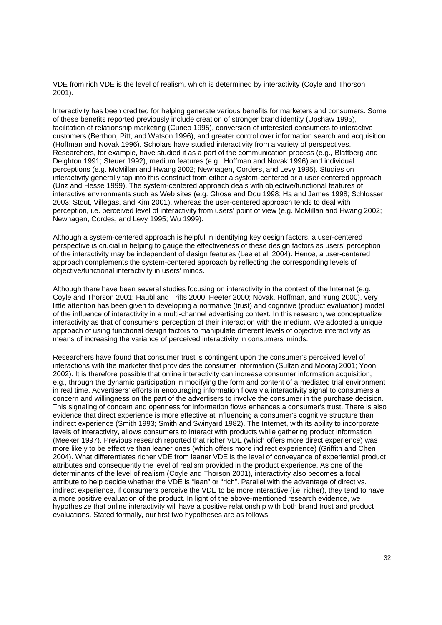VDE from rich VDE is the level of realism, which is determined by interactivity (Coyle and Thorson 2001).

Interactivity has been credited for helping generate various benefits for marketers and consumers. Some of these benefits reported previously include creation of stronger brand identity (Upshaw 1995), facilitation of relationship marketing (Cuneo 1995), conversion of interested consumers to interactive customers (Berthon, Pitt, and Watson 1996), and greater control over information search and acquisition (Hoffman and Novak 1996). Scholars have studied interactivity from a variety of perspectives. Researchers, for example, have studied it as a part of the communication process (e.g., Blattberg and Deighton 1991; Steuer 1992), medium features (e.g., Hoffman and Novak 1996) and individual perceptions (e.g. McMillan and Hwang 2002; Newhagen, Corders, and Levy 1995). Studies on interactivity generally tap into this construct from either a system-centered or a user-centered approach (Unz and Hesse 1999). The system-centered approach deals with objective/functional features of interactive environments such as Web sites (e.g. Ghose and Dou 1998; Ha and James 1998; Schlosser 2003; Stout, Villegas, and Kim 2001), whereas the user-centered approach tends to deal with perception, i.e. perceived level of interactivity from users' point of view (e.g. McMillan and Hwang 2002; Newhagen, Cordes, and Levy 1995; Wu 1999).

Although a system-centered approach is helpful in identifying key design factors, a user-centered perspective is crucial in helping to gauge the effectiveness of these design factors as users' perception of the interactivity may be independent of design features (Lee et al. 2004). Hence, a user-centered approach complements the system-centered approach by reflecting the corresponding levels of objective/functional interactivity in users' minds.

Although there have been several studies focusing on interactivity in the context of the Internet (e.g. Coyle and Thorson 2001; Häubl and Trifts 2000; Heeter 2000; Novak, Hoffman, and Yung 2000), very little attention has been given to developing a normative (trust) and cognitive (product evaluation) model of the influence of interactivity in a multi-channel advertising context. In this research, we conceptualize interactivity as that of consumers' perception of their interaction with the medium. We adopted a unique approach of using functional design factors to manipulate different levels of objective interactivity as means of increasing the variance of perceived interactivity in consumers' minds.

Researchers have found that consumer trust is contingent upon the consumer's perceived level of interactions with the marketer that provides the consumer information (Sultan and Mooraj 2001; Yoon 2002). It is therefore possible that online interactivity can increase consumer information acquisition, e.g., through the dynamic participation in modifying the form and content of a mediated trial environment in real time. Advertisers' efforts in encouraging information flows via interactivity signal to consumers a concern and willingness on the part of the advertisers to involve the consumer in the purchase decision. This signaling of concern and openness for information flows enhances a consumer's trust. There is also evidence that direct experience is more effective at influencing a consumer's cognitive structure than indirect experience (Smith 1993; Smith and Swinyard 1982). The Internet, with its ability to incorporate levels of interactivity, allows consumers to interact with products while gathering product information (Meeker 1997). Previous research reported that richer VDE (which offers more direct experience) was more likely to be effective than leaner ones (which offers more indirect experience) (Griffith and Chen 2004). What differentiates richer VDE from leaner VDE is the level of conveyance of experiential product attributes and consequently the level of realism provided in the product experience. As one of the determinants of the level of realism (Coyle and Thorson 2001), interactivity also becomes a focal attribute to help decide whether the VDE is "lean" or "rich". Parallel with the advantage of direct vs. indirect experience, if consumers perceive the VDE to be more interactive (i.e. richer), they tend to have a more positive evaluation of the product. In light of the above-mentioned research evidence, we hypothesize that online interactivity will have a positive relationship with both brand trust and product evaluations. Stated formally, our first two hypotheses are as follows.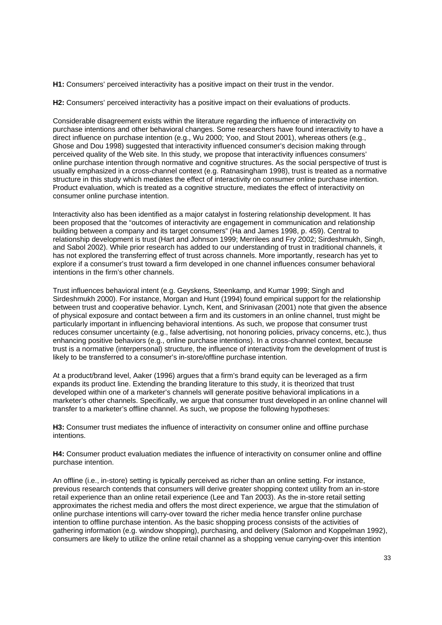**H1:** Consumers' perceived interactivity has a positive impact on their trust in the vendor.

**H2:** Consumers' perceived interactivity has a positive impact on their evaluations of products.

Considerable disagreement exists within the literature regarding the influence of interactivity on purchase intentions and other behavioral changes. Some researchers have found interactivity to have a direct influence on purchase intention (e.g., Wu 2000; Yoo, and Stout 2001), whereas others (e.g., Ghose and Dou 1998) suggested that interactivity influenced consumer's decision making through perceived quality of the Web site. In this study, we propose that interactivity influences consumers' online purchase intention through normative and cognitive structures. As the social perspective of trust is usually emphasized in a cross-channel context (e.g. Ratnasingham 1998), trust is treated as a normative structure in this study which mediates the effect of interactivity on consumer online purchase intention. Product evaluation, which is treated as a cognitive structure, mediates the effect of interactivity on consumer online purchase intention.

Interactivity also has been identified as a major catalyst in fostering relationship development. It has been proposed that the "outcomes of interactivity are engagement in communication and relationship building between a company and its target consumers" (Ha and James 1998, p. 459). Central to relationship development is trust (Hart and Johnson 1999; Merrilees and Fry 2002; Sirdeshmukh, Singh, and Sabol 2002). While prior research has added to our understanding of trust in traditional channels, it has not explored the transferring effect of trust across channels. More importantly, research has yet to explore if a consumer's trust toward a firm developed in one channel influences consumer behavioral intentions in the firm's other channels.

Trust influences behavioral intent (e.g. Geyskens, Steenkamp, and Kumar 1999; Singh and Sirdeshmukh 2000). For instance, Morgan and Hunt (1994) found empirical support for the relationship between trust and cooperative behavior. Lynch, Kent, and Srinivasan (2001) note that given the absence of physical exposure and contact between a firm and its customers in an online channel, trust might be particularly important in influencing behavioral intentions. As such, we propose that consumer trust reduces consumer uncertainty (e.g., false advertising, not honoring policies, privacy concerns, etc.), thus enhancing positive behaviors (e.g., online purchase intentions). In a cross-channel context, because trust is a normative (interpersonal) structure, the influence of interactivity from the development of trust is likely to be transferred to a consumer's in-store/offline purchase intention.

At a product/brand level, Aaker (1996) argues that a firm's brand equity can be leveraged as a firm expands its product line. Extending the branding literature to this study, it is theorized that trust developed within one of a marketer's channels will generate positive behavioral implications in a marketer's other channels. Specifically, we argue that consumer trust developed in an online channel will transfer to a marketer's offline channel. As such, we propose the following hypotheses:

**H3:** Consumer trust mediates the influence of interactivity on consumer online and offline purchase intentions.

**H4:** Consumer product evaluation mediates the influence of interactivity on consumer online and offline purchase intention.

An offline (i.e., in-store) setting is typically perceived as richer than an online setting. For instance, previous research contends that consumers will derive greater shopping context utility from an in-store retail experience than an online retail experience (Lee and Tan 2003). As the in-store retail setting approximates the richest media and offers the most direct experience, we argue that the stimulation of online purchase intentions will carry-over toward the richer media hence transfer online purchase intention to offline purchase intention. As the basic shopping process consists of the activities of gathering information (e.g. window shopping), purchasing, and delivery (Salomon and Koppelman 1992), consumers are likely to utilize the online retail channel as a shopping venue carrying-over this intention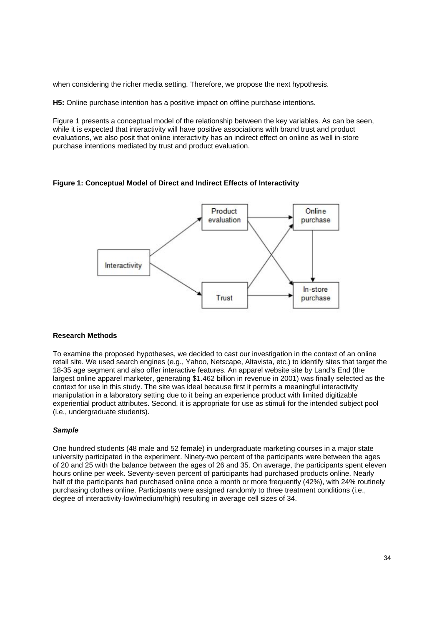when considering the richer media setting. Therefore, we propose the next hypothesis.

**H5:** Online purchase intention has a positive impact on offline purchase intentions.

Figure 1 presents a conceptual model of the relationship between the key variables. As can be seen, while it is expected that interactivity will have positive associations with brand trust and product evaluations, we also posit that online interactivity has an indirect effect on online as well in-store purchase intentions mediated by trust and product evaluation.

**Figure 1: Conceptual Model of Direct and Indirect Effects of Interactivity** 



#### **Research Methods**

To examine the proposed hypotheses, we decided to cast our investigation in the context of an online retail site. We used search engines (e.g., Yahoo, Netscape, Altavista, etc.) to identify sites that target the 18-35 age segment and also offer interactive features. An apparel website site by Land's End (the largest online apparel marketer, generating \$1.462 billion in revenue in 2001) was finally selected as the context for use in this study. The site was ideal because first it permits a meaningful interactivity manipulation in a laboratory setting due to it being an experience product with limited digitizable experiential product attributes. Second, it is appropriate for use as stimuli for the intended subject pool (i.e., undergraduate students).

## *Sample*

One hundred students (48 male and 52 female) in undergraduate marketing courses in a major state university participated in the experiment. Ninety-two percent of the participants were between the ages of 20 and 25 with the balance between the ages of 26 and 35. On average, the participants spent eleven hours online per week. Seventy-seven percent of participants had purchased products online. Nearly half of the participants had purchased online once a month or more frequently (42%), with 24% routinely purchasing clothes online. Participants were assigned randomly to three treatment conditions (i.e., degree of interactivity-low/medium/high) resulting in average cell sizes of 34.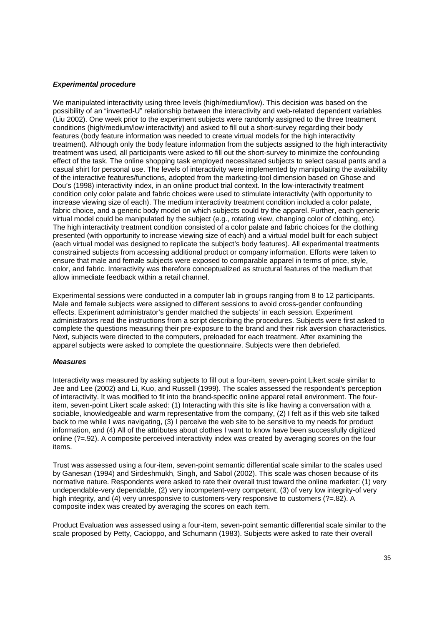#### *Experimental procedure*

We manipulated interactivity using three levels (high/medium/low). This decision was based on the possibility of an "inverted-U" relationship between the interactivity and web-related dependent variables (Liu 2002). One week prior to the experiment subjects were randomly assigned to the three treatment conditions (high/medium/low interactivity) and asked to fill out a short-survey regarding their body features (body feature information was needed to create virtual models for the high interactivity treatment). Although only the body feature information from the subjects assigned to the high interactivity treatment was used, all participants were asked to fill out the short-survey to minimize the confounding effect of the task. The online shopping task employed necessitated subjects to select casual pants and a casual shirt for personal use. The levels of interactivity were implemented by manipulating the availability of the interactive features/functions, adopted from the marketing-tool dimension based on Ghose and Dou's (1998) interactivity index, in an online product trial context. In the low-interactivity treatment condition only color palate and fabric choices were used to stimulate interactivity (with opportunity to increase viewing size of each). The medium interactivity treatment condition included a color palate, fabric choice, and a generic body model on which subjects could try the apparel. Further, each generic virtual model could be manipulated by the subject (e.g., rotating view, changing color of clothing, etc). The high interactivity treatment condition consisted of a color palate and fabric choices for the clothing presented (with opportunity to increase viewing size of each) and a virtual model built for each subject (each virtual model was designed to replicate the subject's body features). All experimental treatments constrained subjects from accessing additional product or company information. Efforts were taken to ensure that male and female subjects were exposed to comparable apparel in terms of price, style, color, and fabric. Interactivity was therefore conceptualized as structural features of the medium that allow immediate feedback within a retail channel.

Experimental sessions were conducted in a computer lab in groups ranging from 8 to 12 participants. Male and female subjects were assigned to different sessions to avoid cross-gender confounding effects. Experiment administrator's gender matched the subjects' in each session. Experiment administrators read the instructions from a script describing the procedures. Subjects were first asked to complete the questions measuring their pre-exposure to the brand and their risk aversion characteristics. Next, subjects were directed to the computers, preloaded for each treatment. After examining the apparel subjects were asked to complete the questionnaire. Subjects were then debriefed.

#### *Measures*

Interactivity was measured by asking subjects to fill out a four-item, seven-point Likert scale similar to Jee and Lee (2002) and Li, Kuo, and Russell (1999). The scales assessed the respondent's perception of interactivity. It was modified to fit into the brand-specific online apparel retail environment. The fouritem, seven-point Likert scale asked: (1) Interacting with this site is like having a conversation with a sociable, knowledgeable and warm representative from the company, (2) I felt as if this web site talked back to me while I was navigating, (3) I perceive the web site to be sensitive to my needs for product information, and (4) All of the attributes about clothes I want to know have been successfully digitized online (?=.92). A composite perceived interactivity index was created by averaging scores on the four items.

Trust was assessed using a four-item, seven-point semantic differential scale similar to the scales used by Ganesan (1994) and Sirdeshmukh, Singh, and Sabol (2002). This scale was chosen because of its normative nature. Respondents were asked to rate their overall trust toward the online marketer: (1) very undependable-very dependable, (2) very incompetent-very competent, (3) of very low integrity-of very high integrity, and (4) very unresponsive to customers-very responsive to customers (?=.82). A composite index was created by averaging the scores on each item.

Product Evaluation was assessed using a four-item, seven-point semantic differential scale similar to the scale proposed by Petty, Cacioppo, and Schumann (1983). Subjects were asked to rate their overall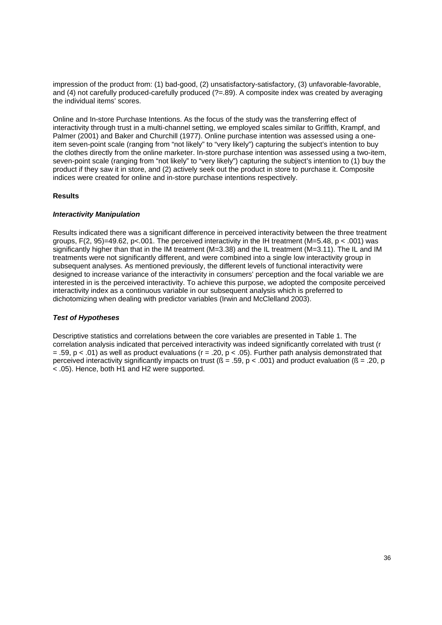impression of the product from: (1) bad-good, (2) unsatisfactory-satisfactory, (3) unfavorable-favorable, and (4) not carefully produced-carefully produced (?=.89). A composite index was created by averaging the individual items' scores.

Online and In-store Purchase Intentions. As the focus of the study was the transferring effect of interactivity through trust in a multi-channel setting, we employed scales similar to Griffith, Krampf, and Palmer (2001) and Baker and Churchill (1977). Online purchase intention was assessed using a oneitem seven-point scale (ranging from "not likely" to "very likely") capturing the subject's intention to buy the clothes directly from the online marketer. In-store purchase intention was assessed using a two-item, seven-point scale (ranging from "not likely" to "very likely") capturing the subject's intention to (1) buy the product if they saw it in store, and (2) actively seek out the product in store to purchase it. Composite indices were created for online and in-store purchase intentions respectively.

#### **Results**

#### *Interactivity Manipulation*

Results indicated there was a significant difference in perceived interactivity between the three treatment groups, F(2, 95)=49.62, p<.001. The perceived interactivity in the IH treatment (M=5.48, p < .001) was significantly higher than that in the IM treatment (M=3.38) and the IL treatment (M=3.11). The IL and IM treatments were not significantly different, and were combined into a single low interactivity group in subsequent analyses. As mentioned previously, the different levels of functional interactivity were designed to increase variance of the interactivity in consumers' perception and the focal variable we are interested in is the perceived interactivity. To achieve this purpose, we adopted the composite perceived interactivity index as a continuous variable in our subsequent analysis which is preferred to dichotomizing when dealing with predictor variables (Irwin and McClelland 2003).

#### *Test of Hypotheses*

Descriptive statistics and correlations between the core variables are presented in Table 1. The correlation analysis indicated that perceived interactivity was indeed significantly correlated with trust (r  $= .59$ , p  $< .01$ ) as well as product evaluations (r = .20, p  $< .05$ ). Further path analysis demonstrated that perceived interactivity significantly impacts on trust ( $\beta = .59$ ,  $p < .001$ ) and product evaluation ( $\beta = .20$ , p < .05). Hence, both H1 and H2 were supported.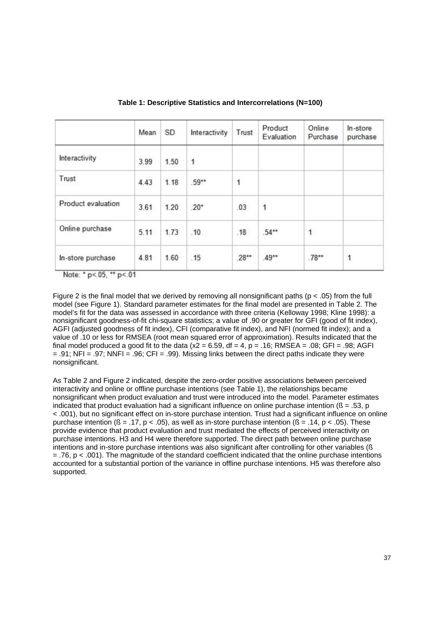|                    | Mean | <b>SD</b> | Interactivity | Trust          | Product<br>Evaluation | Online<br>Purchase | In-store<br>purchase |
|--------------------|------|-----------|---------------|----------------|-----------------------|--------------------|----------------------|
| Interactivity      | 3.99 | 1.50      | 1             |                |                       |                    |                      |
| Trust              | 4.43 | 1.18      | .59**         | $\overline{1}$ |                       |                    |                      |
| Product evaluation | 3.61 | 1.20      | $.20*$        | .03            | $\overline{1}$        |                    |                      |
| Online purchase    | 5.11 | 1.73      | .10           | .18            | $.54***$              | $\mathbf{1}$       |                      |
| In-store purchase  | 4.81 | 1.60      | .15           | .28**          | $.49**$               | $.78**$            | 1                    |

**Table 1: Descriptive Statistics and Intercorrelations (N=100)**

Note: \* p<.05, \*\* p<.01

Figure 2 is the final model that we derived by removing all nonsignificant paths ( $p < .05$ ) from the full model (see Figure 1). Standard parameter estimates for the final model are presented in Table 2. The model's fit for the data was assessed in accordance with three criteria (Kelloway 1998; Kline 1998): a nonsignificant goodness-of-fit chi-square statistics; a value of .90 or greater for GFI (good of fit index), AGFI (adjusted goodness of fit index), CFI (comparative fit index), and NFI (normed fit index); and a value of .10 or less for RMSEA (root mean squared error of approximation). Results indicated that the final model produced a good fit to the data  $(x2 = 6.59, df = 4, p = .16; RMSEA = .08; GFI = .98; AGFI$  $= .91$ ; NFI = .97; NNFI = .96; CFI = .99). Missing links between the direct paths indicate they were nonsignificant.

As Table 2 and Figure 2 indicated, despite the zero-order positive associations between perceived interactivity and online or offline purchase intentions (see Table 1), the relationships became nonsignificant when product evaluation and trust were introduced into the model. Parameter estimates indicated that product evaluation had a significant influence on online purchase intention ( $\beta = .53$ , p < .001), but no significant effect on in-store purchase intention. Trust had a significant influence on online purchase intention ( $\beta = .17$ ,  $p < .05$ ), as well as in-store purchase intention ( $\beta = .14$ ,  $p < .05$ ). These provide evidence that product evaluation and trust mediated the effects of perceived interactivity on purchase intentions. H3 and H4 were therefore supported. The direct path between online purchase intentions and in-store purchase intentions was also significant after controlling for other variables (ß  $= .76$ , p  $< .001$ ). The magnitude of the standard coefficient indicated that the online purchase intentions accounted for a substantial portion of the variance in offline purchase intentions. H5 was therefore also supported.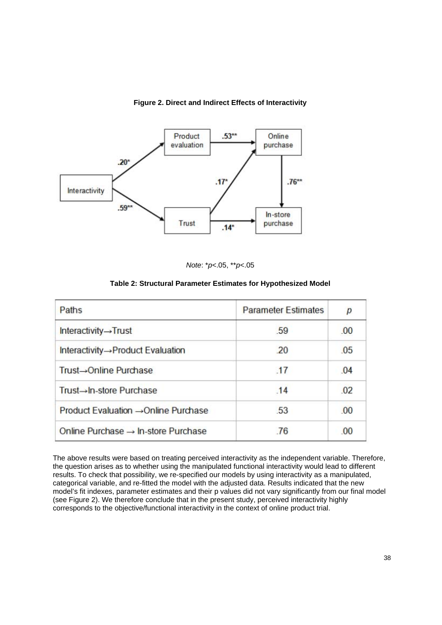

### **Figure 2. Direct and Indirect Effects of Interactivity**



## **Table 2: Structural Parameter Estimates for Hypothesized Model**

| Paths                                           | <b>Parameter Estimates</b> | $\boldsymbol{p}$ |
|-------------------------------------------------|----------------------------|------------------|
| Interactivity-Trust                             | .59                        | .00              |
| Interactivity→Product Evaluation                | 20                         | .05              |
| Trust→Online Purchase                           | .17                        | .04              |
| Trust→In-store Purchase                         | .14                        | .02              |
| Product Evaluation → Online Purchase            | 53                         | .00              |
| Online Purchase $\rightarrow$ In-store Purchase | .76                        | .00              |

The above results were based on treating perceived interactivity as the independent variable. Therefore, the question arises as to whether using the manipulated functional interactivity would lead to different results. To check that possibility, we re-specified our models by using interactivity as a manipulated, categorical variable, and re-fitted the model with the adjusted data. Results indicated that the new model's fit indexes, parameter estimates and their p values did not vary significantly from our final model (see Figure 2). We therefore conclude that in the present study, perceived interactivity highly corresponds to the objective/functional interactivity in the context of online product trial.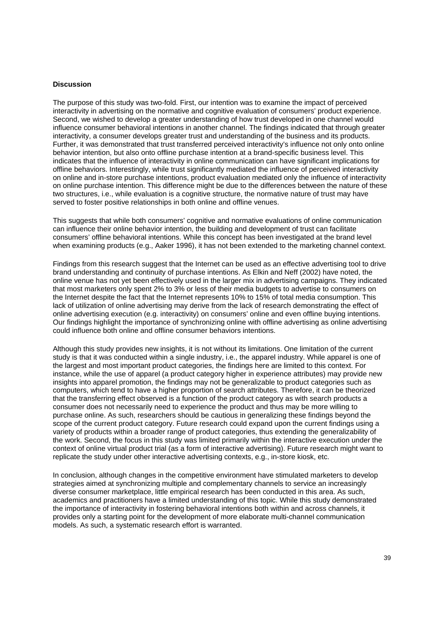#### **Discussion**

The purpose of this study was two-fold. First, our intention was to examine the impact of perceived interactivity in advertising on the normative and cognitive evaluation of consumers' product experience. Second, we wished to develop a greater understanding of how trust developed in one channel would influence consumer behavioral intentions in another channel. The findings indicated that through greater interactivity, a consumer develops greater trust and understanding of the business and its products. Further, it was demonstrated that trust transferred perceived interactivity's influence not only onto online behavior intention, but also onto offline purchase intention at a brand-specific business level. This indicates that the influence of interactivity in online communication can have significant implications for offline behaviors. Interestingly, while trust significantly mediated the influence of perceived interactivity on online and in-store purchase intentions, product evaluation mediated only the influence of interactivity on online purchase intention. This difference might be due to the differences between the nature of these two structures, i.e., while evaluation is a cognitive structure, the normative nature of trust may have served to foster positive relationships in both online and offline venues.

This suggests that while both consumers' cognitive and normative evaluations of online communication can influence their online behavior intention, the building and development of trust can facilitate consumers' offline behavioral intentions. While this concept has been investigated at the brand level when examining products (e.g., Aaker 1996), it has not been extended to the marketing channel context.

Findings from this research suggest that the Internet can be used as an effective advertising tool to drive brand understanding and continuity of purchase intentions. As Elkin and Neff (2002) have noted, the online venue has not yet been effectively used in the larger mix in advertising campaigns. They indicated that most marketers only spent 2% to 3% or less of their media budgets to advertise to consumers on the Internet despite the fact that the Internet represents 10% to 15% of total media consumption. This lack of utilization of online advertising may derive from the lack of research demonstrating the effect of online advertising execution (e.g. interactivity) on consumers' online and even offline buying intentions. Our findings highlight the importance of synchronizing online with offline advertising as online advertising could influence both online and offline consumer behaviors intentions.

Although this study provides new insights, it is not without its limitations. One limitation of the current study is that it was conducted within a single industry, i.e., the apparel industry. While apparel is one of the largest and most important product categories, the findings here are limited to this context. For instance, while the use of apparel (a product category higher in experience attributes) may provide new insights into apparel promotion, the findings may not be generalizable to product categories such as computers, which tend to have a higher proportion of search attributes. Therefore, it can be theorized that the transferring effect observed is a function of the product category as with search products a consumer does not necessarily need to experience the product and thus may be more willing to purchase online. As such, researchers should be cautious in generalizing these findings beyond the scope of the current product category. Future research could expand upon the current findings using a variety of products within a broader range of product categories, thus extending the generalizability of the work. Second, the focus in this study was limited primarily within the interactive execution under the context of online virtual product trial (as a form of interactive advertising). Future research might want to replicate the study under other interactive advertising contexts, e.g., in-store kiosk, etc.

In conclusion, although changes in the competitive environment have stimulated marketers to develop strategies aimed at synchronizing multiple and complementary channels to service an increasingly diverse consumer marketplace, little empirical research has been conducted in this area. As such, academics and practitioners have a limited understanding of this topic. While this study demonstrated the importance of interactivity in fostering behavioral intentions both within and across channels, it provides only a starting point for the development of more elaborate multi-channel communication models. As such, a systematic research effort is warranted.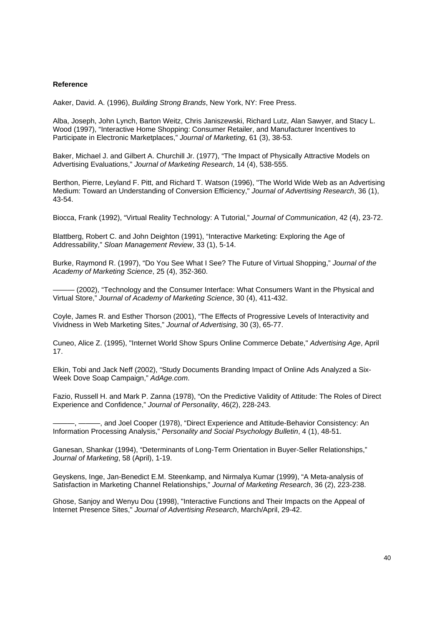#### **Reference**

Aaker, David. A. (1996), *Building Strong Brands*, New York, NY: Free Press.

Alba, Joseph, John Lynch, Barton Weitz, Chris Janiszewski, Richard Lutz, Alan Sawyer, and Stacy L. Wood (1997), "Interactive Home Shopping: Consumer Retailer, and Manufacturer Incentives to Participate in Electronic Marketplaces," *Journal of Marketing*, 61 (3), 38-53.

Baker, Michael J. and Gilbert A. Churchill Jr. (1977), "The Impact of Physically Attractive Models on Advertising Evaluations," *Journal of Marketing Research*, 14 (4), 538-555.

Berthon, Pierre, Leyland F. Pitt, and Richard T. Watson (1996), "The World Wide Web as an Advertising Medium: Toward an Understanding of Conversion Efficiency," *Journal of Advertising Research*, 36 (1), 43-54.

Biocca, Frank (1992), "Virtual Reality Technology: A Tutorial," *Journal of Communication*, 42 (4), 23-72.

Blattberg, Robert C. and John Deighton (1991), "Interactive Marketing: Exploring the Age of Addressability," *Sloan Management Review*, 33 (1), 5-14.

Burke, Raymond R. (1997), "Do You See What I See? The Future of Virtual Shopping," *Journal of the Academy of Marketing Science*, 25 (4), 352-360.

(2002), "Technology and the Consumer Interface: What Consumers Want in the Physical and Virtual Store," *Journal of Academy of Marketing Science*, 30 (4), 411-432.

Coyle, James R. and Esther Thorson (2001), "The Effects of Progressive Levels of Interactivity and Vividness in Web Marketing Sites," *Journal of Advertising*, 30 (3), 65-77.

Cuneo, Alice Z. (1995), "Internet World Show Spurs Online Commerce Debate," *Advertising Age*, April 17.

Elkin, Tobi and Jack Neff (2002), "Study Documents Branding Impact of Online Ads Analyzed a Six-Week Dove Soap Campaign," *AdAge.com*.

Fazio, Russell H. and Mark P. Zanna (1978), "On the Predictive Validity of Attitude: The Roles of Direct Experience and Confidence," *Journal of Personality*, 46(2), 228-243.

-, and Joel Cooper (1978), "Direct Experience and Attitude-Behavior Consistency: An Information Processing Analysis," *Personality and Social Psychology Bulletin*, 4 (1), 48-51.

Ganesan, Shankar (1994), "Determinants of Long-Term Orientation in Buyer-Seller Relationships," *Journal of Marketing*, 58 (April), 1-19.

Geyskens, Inge, Jan-Benedict E.M. Steenkamp, and Nirmalya Kumar (1999), "A Meta-analysis of Satisfaction in Marketing Channel Relationships," *Journal of Marketing Research*, 36 (2), 223-238.

Ghose, Sanjoy and Wenyu Dou (1998), "Interactive Functions and Their Impacts on the Appeal of Internet Presence Sites," *Journal of Advertising Research*, March/April, 29-42.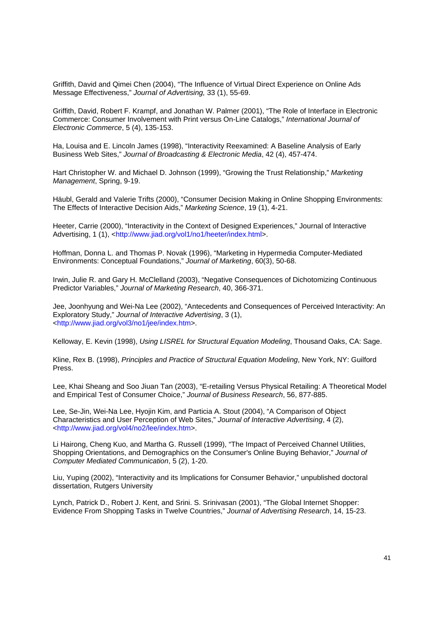Griffith, David and Qimei Chen (2004), "The Influence of Virtual Direct Experience on Online Ads Message Effectiveness," *Journal of Advertising,* 33 (1), 55-69.

Griffith, David, Robert F. Krampf, and Jonathan W. Palmer (2001), "The Role of Interface in Electronic Commerce: Consumer Involvement with Print versus On-Line Catalogs," *International Journal of Electronic Commerce*, 5 (4), 135-153.

Ha, Louisa and E. Lincoln James (1998), "Interactivity Reexamined: A Baseline Analysis of Early Business Web Sites," *Journal of Broadcasting & Electronic Media*, 42 (4), 457-474.

Hart Christopher W. and Michael D. Johnson (1999), "Growing the Trust Relationship," *Marketing Management*, Spring, 9-19.

Häubl, Gerald and Valerie Trifts (2000), "Consumer Decision Making in Online Shopping Environments: The Effects of Interactive Decision Aids," *Marketing Science*, 19 (1), 4-21.

Heeter, Carrie (2000), "Interactivity in the Context of Designed Experiences," Journal of Interactive Advertising, 1 (1), <http://www.jiad.org/vol1/no1/heeter/index.html>.

Hoffman, Donna L. and Thomas P. Novak (1996), "Marketing in Hypermedia Computer-Mediated Environments: Conceptual Foundations," *Journal of Marketing*, 60(3), 50-68.

Irwin, Julie R. and Gary H. McClelland (2003), "Negative Consequences of Dichotomizing Continuous Predictor Variables," *Journal of Marketing Research*, 40, 366-371.

Jee, Joonhyung and Wei-Na Lee (2002), "Antecedents and Consequences of Perceived Interactivity: An Exploratory Study," *Journal of Interactive Advertising*, 3 (1), <http://www.jiad.org/vol3/no1/jee/index.htm>.

Kelloway, E. Kevin (1998), *Using LISREL for Structural Equation Modeling*, Thousand Oaks, CA: Sage.

Kline, Rex B. (1998), *Principles and Practice of Structural Equation Modeling*, New York, NY: Guilford Press.

Lee, Khai Sheang and Soo Jiuan Tan (2003), "E-retailing Versus Physical Retailing: A Theoretical Model and Empirical Test of Consumer Choice," *Journal of Business Research*, 56, 877-885.

Lee, Se-Jin, Wei-Na Lee, Hyojin Kim, and Particia A. Stout (2004), "A Comparison of Object Characteristics and User Perception of Web Sites," *Journal of Interactive Advertising*, 4 (2), <http://www.jiad.org/vol4/no2/lee/index.htm>.

Li Hairong, Cheng Kuo, and Martha G. Russell (1999), "The Impact of Perceived Channel Utilities, Shopping Orientations, and Demographics on the Consumer's Online Buying Behavior," *Journal of Computer Mediated Communication*, 5 (2), 1-20.

Liu, Yuping (2002), "Interactivity and its Implications for Consumer Behavior," unpublished doctoral dissertation, Rutgers University

Lynch, Patrick D., Robert J. Kent, and Srini. S. Srinivasan (2001), "The Global Internet Shopper: Evidence From Shopping Tasks in Twelve Countries," *Journal of Advertising Research*, 14, 15-23.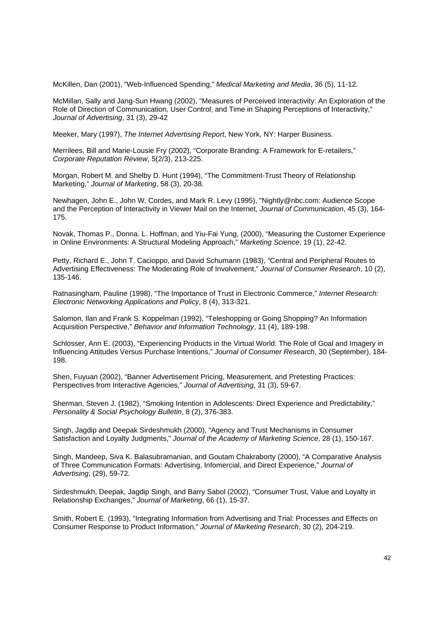McKillen, Dan (2001), "Web-Influenced Spending," *Medical Marketing and Media*, 36 (5), 11-12.

McMillan, Sally and Jang-Sun Hwang (2002), "Measures of Perceived Interactivity: An Exploration of the Role of Direction of Communication, User Control, and Time in Shaping Perceptions of Interactivity," *Journal of Advertising*, 31 (3), 29-42

Meeker, Mary (1997), *The Internet Advertising Report*, New York, NY: Harper Business.

Merrilees, Bill and Marie-Lousie Fry (2002), "Corporate Branding: A Framework for E-retailers," *Corporate Reputation Review*, 5(2/3), 213-225.

Morgan, Robert M. and Shelby D. Hunt (1994), "The Commitment-Trust Theory of Relationship Marketing," *Journal of Marketing*, 58 (3), 20-38.

Newhagen, John E., John W. Cordes, and Mark R. Levy (1995), "Nightly@nbc.com: Audience Scope and the Perception of Interactivity in Viewer Mail on the Internet, *Journal of Communication*, 45 (3), 164- 175.

Novak, Thomas P., Donna. L. Hoffman, and Yiu-Fai Yung, (2000), "Measuring the Customer Experience in Online Environments: A Structural Modeling Approach," *Marketing Science*, 19 (1), 22-42.

Petty, Richard E., John T. Cacioppo, and David Schumann (1983), "Central and Peripheral Routes to Advertising Effectiveness: The Moderating Role of Involvement," *Journal of Consumer Research*, 10 (2), 135-146.

Ratnasingham, Pauline (1998), "The Importance of Trust in Electronic Commerce," *Internet Research: Electronic Networking Applications and Policy*, 8 (4), 313-321.

Salomon, Ilan and Frank S. Koppelman (1992), "Teleshopping or Going Shopping? An Information Acquisition Perspective," *Behavior and Information Technology*, 11 (4), 189-198.

Schlosser, Ann E. (2003), "Experiencing Products in the Virtual World: The Role of Goal and Imagery in Influencing Attitudes Versus Purchase Intentions," *Journal of Consumer Research*, 30 (September), 184- 198.

Shen, Fuyuan (2002), "Banner Advertisement Pricing, Measurement, and Pretesting Practices: Perspectives from Interactive Agencies," *Journal of Advertising*, 31 (3), 59-67.

Sherman, Steven J. (1982), "Smoking Intention in Adolescents: Direct Experience and Predictability," *Personality & Social Psychology Bulletin*, 8 (2), 376-383.

Singh, Jagdip and Deepak Sirdeshmukh (2000), "Agency and Trust Mechanisms in Consumer Satisfaction and Loyalty Judgments," *Journal of the Academy of Marketing Science*, 28 (1), 150-167.

Singh, Mandeep, Siva K. Balasubramanian, and Goutam Chakraborty (2000), "A Comparative Analysis of Three Communication Formats: Advertising, Infomercial, and Direct Experience," *Journal of Advertising*, (29), 59-72.

Sirdeshmukh, Deepak, Jagdip Singh, and Barry Sabol (2002), "Consumer Trust, Value and Loyalty in Relationship Exchanges," *Journal of Marketing*, 66 (1), 15-37.

Smith, Robert E. (1993), "Integrating Information from Advertising and Trial: Processes and Effects on Consumer Response to Product Information," *Journal of Marketing Research*, 30 (2), 204-219.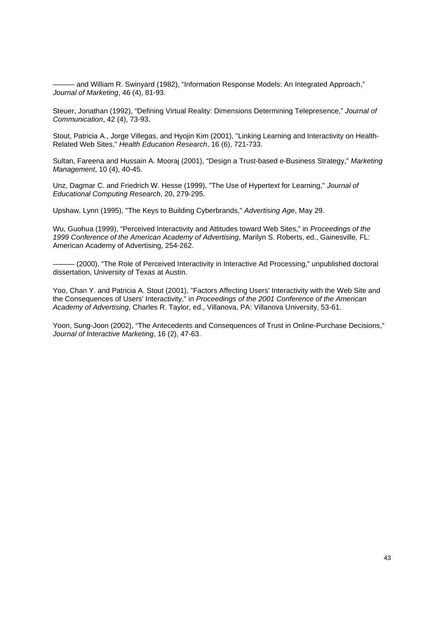——— and William R. Swinyard (1982), "Information Response Models: An Integrated Approach," *Journal of Marketing*, 46 (4), 81-93.

Steuer, Jonathan (1992), "Defining Virtual Reality: Dimensions Determining Telepresence," *Journal of Communication*, 42 (4), 73-93.

Stout, Patricia A., Jorge Villegas, and Hyojin Kim (2001), "Linking Learning and Interactivity on Health-Related Web Sites," *Health Education Research*, 16 (6), 721-733.

Sultan, Fareena and Hussain A. Mooraj (2001), "Design a Trust-based e-Business Strategy," *Marketing Management*, 10 (4), 40-45.

Unz, Dagmar C. and Friedrich W. Hesse (1999), "The Use of Hypertext for Learning," *Journal of Educational Computing Research*, 20, 279-295.

Upshaw, Lynn (1995), "The Keys to Building Cyberbrands," *Advertising Age*, May 29.

Wu, Guohua (1999), "Perceived Interactivity and Attitudes toward Web Sites," in *Proceedings of the 1999 Conference of the American Academy of Advertising*, Marilyn S. Roberts, ed., Gainesville, FL: American Academy of Advertising, 254-262.

- (2000), "The Role of Perceived Interactivity in Interactive Ad Processing," unpublished doctoral dissertation, University of Texas at Austin.

Yoo, Chan Y. and Patricia A. Stout (2001), "Factors Affecting Users' Interactivity with the Web Site and the Consequences of Users' Interactivity," in *Proceedings of the 2001 Conference of the American Academy of Advertising*, Charles R. Taylor, ed., Villanova, PA: Villanova University, 53-61.

Yoon, Sung-Joon (2002), "The Antecedents and Consequences of Trust in Online-Purchase Decisions," *Journal of Interactive Marketing*, 16 (2), 47-63.